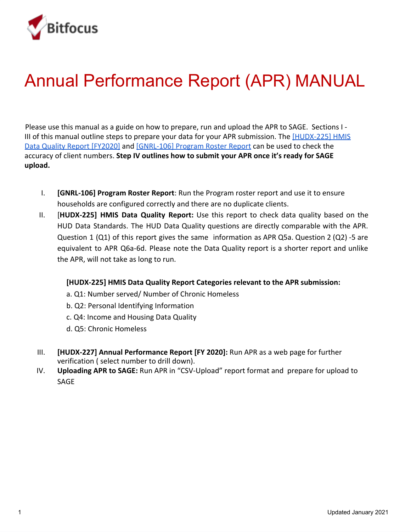

# Annual Performance Report (APR) MANUAL

Please use this manual as a guide on how to prepare, run and upload the APR to SAGE. Sections I - III of this manual outline steps to prepare your data for your APR submission. The [\[HUDX-225\] HMIS](https://get.clarityhs.help/hc/en-us/articles/115012435727--HUDX-225-HMIS-Data-Quality-Report) [Data Quality Report \[FY2020\]](https://get.clarityhs.help/hc/en-us/articles/115012435727--HUDX-225-HMIS-Data-Quality-Report) and [\[GNRL-106\] Program Roster Report](https://get.clarityhs.help/hc/en-us/articles/115002703468--GNRL-106-Program-Roster) can be used to check the accuracy of client numbers. **Step IV outlines how to submit your APR once it's ready for SAGE upload.**

- I. **[GNRL-106] Program Roster Report**: Run the Program roster report and use it to ensure households are configured correctly and there are no duplicate clients.
- II. [**HUDX-225] HMIS Data Quality Report:** Use this report to check data quality based on the HUD Data Standards. The HUD Data Quality questions are directly comparable with the APR. Question 1 (Q1) of this report gives the same information as APR Q5a. Question 2 (Q2) -5 are equivalent to APR Q6a-6d. Please note the Data Quality report is a shorter report and unlike the APR, will not take as long to run.

#### **[HUDX-225] HMIS Data Quality Report Categories relevant to the APR submission:**

- a. Q1: Number served/ Number of Chronic Homeless
- b. Q2: Personal Identifying Information
- c. Q4: Income and Housing Data Quality
- d. Q5: Chronic Homeless
- III. **[HUDX-227] Annual Performance Report [FY 2020]:** Run APR as a web page for further verification ( select number to drill down).
- IV. **Uploading APR to SAGE:** Run APR in "CSV-Upload" report format and prepare for upload to SAGE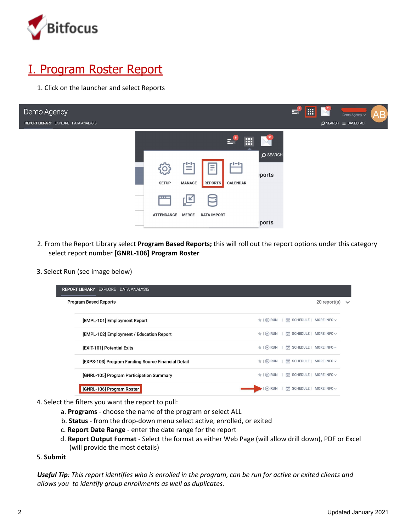

# I. Program Roster Report

1. Click on the launcher and select Reports



- 2. From the Report Library select **Program Based Reports;** this will roll out the report options under this category select report number **[GNRL-106] Program Roster**
- 3. Select Run (see image below)

| <b>REPORT LIBRARY EXPLORE DATA ANALYSIS</b>        |                                                              |                                   |
|----------------------------------------------------|--------------------------------------------------------------|-----------------------------------|
| <b>Program Based Reports</b>                       |                                                              | $20$ report $(s)$<br>$\checkmark$ |
|                                                    |                                                              |                                   |
| [EMPL-101] Employment Report                       | SCHEDULE   MORE INFO v<br>$\star$ $\odot$ RUN                |                                   |
| [EMPL-102] Employment / Education Report           | $\triangleq$   $\odot$ RUN<br>SCHEDULE   MORE INFO ~         |                                   |
| [EXIT-101] Potential Exits                         | SCHEDULE   MORE INFO v<br>$\parallel$ ( $\triangleright$ RUN |                                   |
| [EXPS-103] Program Funding Source Financial Detail | ★   ▶ RUN   [ SCHEDULE   MORE INFO v                         |                                   |
| [GNRL-105] Program Participation Summary           | SCHEDULE   MORE INFO ~<br>$\triangleq$   $\odot$ RUN         |                                   |
| [GNRL-106] Program Roster                          | 鬯<br>SCHEDULE   MORE INFO ~<br>(1)                           |                                   |
|                                                    |                                                              |                                   |

- 4. Select the filters you want the report to pull:
	- a. **Programs** choose the name of the program or select ALL
	- b. **Status** from the drop-down menu select active, enrolled, or exited
	- c. **Report Date Range** enter the date range for the report
	- d. **Report Output Format** Select the format as either Web Page (will allow drill down), PDF or Excel (will provide the most details)
- 5. **Submit**

Useful Tip: This report identifies who is enrolled in the program, can be run for active or exited clients and *allows you to identify group enrollments as well as duplicates.*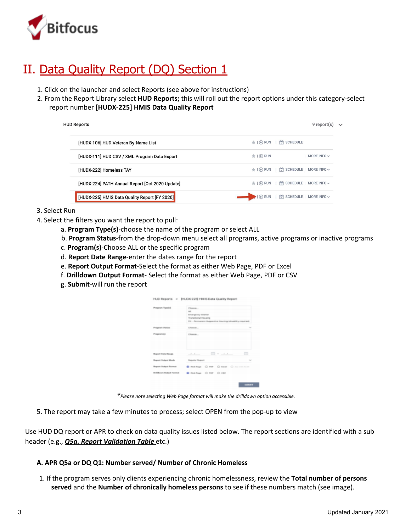

# II. Data Quality Report (DQ) Section 1

- 1. Click on the launcher and select Reports (see above for instructions)
- 2. From the Report Library select **HUD Reports;** this will roll out the report options under this category-select report number **[HUDX-225] HMIS Data Quality Report**

| <b>HUD Reports</b> |                                                 |                                        | $9$ report $(s)$       |  |
|--------------------|-------------------------------------------------|----------------------------------------|------------------------|--|
|                    | [HUDX-106] HUD Veteran By-Name List             | <b>SCHEDULE</b><br>$\star$ $\odot$ RUN |                        |  |
|                    | [HUDX-111] HUD CSV / XML Program Data Export    | $\star$   $\odot$ RUN                  | MORE INFO $\sim$       |  |
|                    | [HUDX-222] Homeless TAY                         | ★ I ▶ RUN   [ SCHEDULE   MORE INFO V   |                        |  |
|                    | [HUDX-224] PATH Annual Report [Oct 2020 Update] | ★   ▶ RUN       SCHEDULE   MORE INFO v |                        |  |
|                    | [HUDX-225] HMIS Data Quality Report [FY 2020]   | $\blacktriangleright$   $\odot$ RUN    | SCHEDULE   MORE INFO ~ |  |

- 3. Select Run
- 4. Select the filters you want the report to pull:
	- a. **Program Type(s)**-choose the name of the program or select ALL
	- b. **Program Status**-from the drop-down menu select all programs, active programs or inactive programs
	- c. **Program(s)**-Choose ALL or the specific program
	- d. **Report Date Range**-enter the dates range for the report
	- e. **Report Output Format**-Select the format as either Web Page, PDF or Excel
	- f. **Drilldown Output Format** Select the format as either Web Page, PDF or CSV
	- g. **Submit**-will run the report

| Program Yapoba                     | Cheese                                                |        |
|------------------------------------|-------------------------------------------------------|--------|
|                                    | $\overline{a}$                                        |        |
|                                    | <b>Briderparkey Sharker</b>                           |        |
|                                    | Transmissal movema                                    |        |
|                                    | PH - Permanent Supportive Housing Misability required |        |
| <b>Frogram Status</b>              | Cheese,                                               |        |
| Programici                         | Cheese a                                              |        |
|                                    |                                                       |        |
| <b>Buyout Illians Standale</b>     | and months                                            | $\Box$ |
|                                    |                                                       |        |
| <b>Beganit Guigest Islands</b>     | <b>Regular Request</b>                                | $\sim$ |
| <b>Hugoan Guilput Formult</b>      | <b>BRANNA ORR ORAN ORIGINAL</b>                       |        |
| <b>Britishman Bulgard Factored</b> | B Helchege C-RM C-CSA                                 |        |
|                                    |                                                       |        |

*\*Please note selecting Web Page format will make the drilldown option accessible.*

5. The report may take a few minutes to process; select OPEN from the pop-up to view

Use HUD DQ report or APR to check on data quality issues listed below. The report sections are identified with a sub header (e.g., *Q5a. Report Validation Table* etc.)

#### **A. APR Q5a or DQ Q1: Number served/ Number of Chronic Homeless**

1. If the program serves only clients experiencing chronic homelessness, review the **Total number of persons served** and the **Number of chronically homeless persons** to see if these numbers match (see image).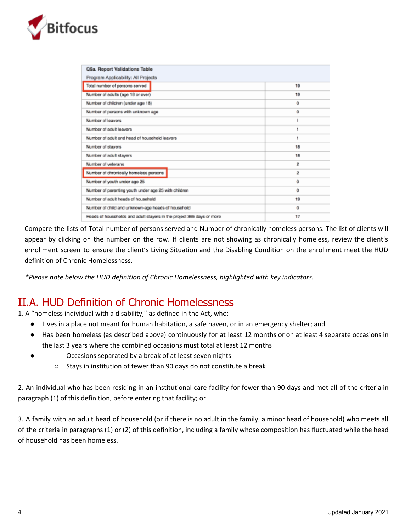

| Q5a. Report Validations Table                                         |    |
|-----------------------------------------------------------------------|----|
| Program Applicability: All Projects                                   |    |
| Total number of persons served                                        | 19 |
| Number of adults (age 18 or over)                                     | 19 |
| Number of children (under age 18)                                     | ٥  |
| Number of persons with unknown age                                    | o  |
| Number of leavers                                                     |    |
| Number of adult leavers                                               |    |
| Number of adult and head of household leavers                         |    |
| Number of stayers                                                     | 18 |
| Number of adult stayers                                               | 18 |
| Number of veterans                                                    | 2  |
| Number of chronically homeless persons                                | 2  |
| Number of youth under age 25                                          | o  |
| Number of parenting youth under age 25 with children                  | ٥  |
| Number of adult heads of household                                    | 19 |
| Number of child and unknown-age heads of household                    | o  |
| Heads of households and adult stayers in the project 365 days or more | 17 |
|                                                                       |    |

Compare the lists of Total number of persons served and Number of chronically homeless persons. The list of clients will appear by clicking on the number on the row. If clients are not showing as chronically homeless, review the client's enrollment screen to ensure the client's Living Situation and the Disabling Condition on the enrollment meet the HUD definition of Chronic Homelessness.

*\*Please note below the HUD definition of Chronic Homelessness, highlighted with key indicators.*

### II.A. HUD Definition of Chronic Homelessness

1. A "homeless individual with a disability," as defined in the Act, who:

- Lives in a place not meant for human habitation, a safe haven, or in an emergency shelter; and
- Has been homeless (as described above) continuously for at least 12 months or on at least 4 separate occasions in the last 3 years where the combined occasions must total at least 12 months
- Occasions separated by a break of at least seven nights
	- Stays in institution of fewer than 90 days do not constitute a break

2. An individual who has been residing in an institutional care facility for fewer than 90 days and met all of the criteria in paragraph (1) of this definition, before entering that facility; or

3. A family with an adult head of household (or if there is no adult in the family, a minor head of household) who meets all of the criteria in paragraphs (1) or (2) of this definition, including a family whose composition has fluctuated while the head of household has been homeless.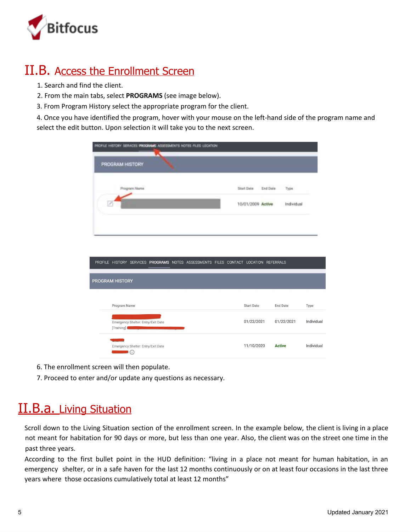

### II.B. Access the Enrollment Screen

- 1. Search and find the client.
- 2. From the main tabs, select **PROGRAMS** (see image below).
- 3. From Program History select the appropriate program for the client.

4. Once you have identified the program, hover with your mouse on the left-hand side of the program name and select the edit button. Upon selection it will take you to the next screen.

| PROFILE HISTORY SERVICES PROGRAMS ASSESSMENTS NOTES FILES LOCATION                   |                        |                 |            |
|--------------------------------------------------------------------------------------|------------------------|-----------------|------------|
| PROGRAM HISTORY                                                                      |                        |                 |            |
| Program Name                                                                         | Stort Date<br>End Date | Туря            |            |
|                                                                                      | 10/01/2009 Active      | Individual      |            |
|                                                                                      |                        |                 |            |
|                                                                                      |                        |                 |            |
| PROFILE HISTORY SERVICES PROGRAMS NOTES ASSESSMENTS FILES CONTACT LOCATION REFERRALS |                        |                 |            |
| PROGRAM HISTORY                                                                      |                        |                 |            |
|                                                                                      |                        |                 |            |
| Program Name                                                                         | <b>Start Date</b>      | <b>End Date</b> | Type       |
| Emergency Shelter: Entry/Exit Date<br>[Training] <b>And a straining</b>              | 01/22/2021             | 01/22/2021      | Individual |
| Emergency Shelter: Entry/Exit Date<br>$\qquad \qquad \bullet$                        | 11/10/2020             | <b>Active</b>   | Individual |

- 6. The enrollment screen will then populate.
- 7. Proceed to enter and/or update any questions as necessary.

# **II.B.a.** Living Situation

Scroll down to the Living Situation section of the enrollment screen. In the example below, the client is living in a place not meant for habitation for 90 days or more, but less than one year. Also, the client was on the street one time in the past three years.

According to the first bullet point in the HUD definition: "living in a place not meant for human habitation, in an emergency shelter, or in a safe haven for the last 12 months continuously or on at least four occasions in the last three years where those occasions cumulatively total at least 12 months"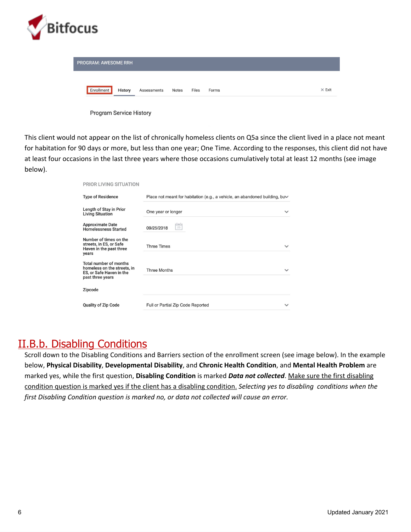

| <b>PROGRAM: AWESOME RRH</b> |         |             |       |       |       |               |
|-----------------------------|---------|-------------|-------|-------|-------|---------------|
| Enrollment                  | History | Assessments | Notes | Files | Forms | $\times$ Exit |
|                             |         |             |       |       |       |               |

| Program Service History |  |  |
|-------------------------|--|--|
|-------------------------|--|--|

This client would not appear on the list of chronically homeless clients on Q5a since the client lived in a place not meant for habitation for 90 days or more, but less than one year; One Time. According to the responses, this client did not have at least four occasions in the last three years where those occasions cumulatively total at least 12 months (see image below).

| <b>PRIOR LIVING SITUATION</b>                                                                                |                                                                                        |              |
|--------------------------------------------------------------------------------------------------------------|----------------------------------------------------------------------------------------|--------------|
| <b>Type of Residence</b>                                                                                     | Place not meant for habitation (e.g., a vehicle, an abandoned building, bu <del></del> |              |
| Length of Stay in Prior<br><b>Living Situation</b>                                                           | One year or longer                                                                     | $\checkmark$ |
| <b>Approximate Date</b><br><b>Homelessness Started</b>                                                       | ئسٹ<br>25<br>09/25/2018                                                                |              |
| Number of times on the<br>streets, in ES, or Safe<br>Haven in the past three<br>years                        | <b>Three Times</b>                                                                     | $\checkmark$ |
| <b>Total number of months</b><br>homeless on the streets, in<br>ES, or Safe Haven in the<br>past three years | <b>Three Months</b>                                                                    | $\checkmark$ |
| Zipcode                                                                                                      |                                                                                        |              |
| <b>Quality of Zip Code</b>                                                                                   | Full or Partial Zip Code Reported                                                      |              |

### II.B.b. Disabling Conditions

Scroll down to the Disabling Conditions and Barriers section of the enrollment screen (see image below). In the example below, **Physical Disability**, **Developmental Disability**, and **Chronic Health Condition**, and **Mental Health Problem** are marked yes, while the first question, **Disabling Condition** is marked *Data not collected*. Make sure the first disabling condition question is marked yes if the client has a disabling condition. *Selecting yes to disabling conditions when the first Disabling Condition question is marked no, or data not collected will cause an error.*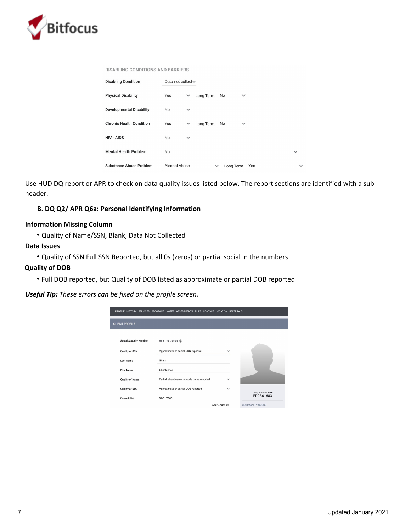

|  |  | DISABLING CONDITIONS AND BARRIERS |  |
|--|--|-----------------------------------|--|

| <b>Disabling Condition</b>      | Data not collect~    |              |           |              |                  |              |
|---------------------------------|----------------------|--------------|-----------|--------------|------------------|--------------|
| <b>Physical Disability</b>      | Yes                  | $\checkmark$ | Long Term | No           | $\checkmark$     |              |
| <b>Developmental Disability</b> | No                   | $\checkmark$ |           |              |                  |              |
| <b>Chronic Health Condition</b> | Yes                  | $\checkmark$ | Long Term | No           | $\checkmark$     |              |
| <b>HIV - AIDS</b>               | No                   | $\checkmark$ |           |              |                  |              |
| <b>Mental Health Problem</b>    | No                   |              |           |              |                  | $\checkmark$ |
| Substance Abuse Problem         | <b>Alcohol Abuse</b> |              |           | $\checkmark$ | Yes<br>Long Term | $\checkmark$ |

Use HUD DQ report or APR to check on data quality issues listed below. The report sections are identified with a sub header.

#### **B. DQ Q2/ APR Q6a: Personal Identifying Information**

#### **Information Missing Column**

• Quality of Name/SSN, Blank, Data Not Collected

#### **Data Issues**

• Quality of SSN Full SSN Reported, but all 0s (zeros) or partial social in the numbers

#### **Quality of DOB**

• Full DOB reported, but Quality of DOB listed as approximate or partial DOB reported

*Useful Tip: These errors can be fixed on the profile screen.*

|                               | PROFILE HISTORY SERVICES PROGRAMS NOTES ASSESSMENTS FILES CONTACT LOCATION REFERRALS |                |                                       |
|-------------------------------|--------------------------------------------------------------------------------------|----------------|---------------------------------------|
| <b>CLIENT PROFILE</b>         |                                                                                      |                |                                       |
| <b>Social Security Number</b> | XXX - XX - XXXX ⑦                                                                    |                |                                       |
| Quality of SSN                | Approximate or partial SSN reported                                                  | $\checkmark$   |                                       |
| <b>Last Name</b>              | Shark                                                                                |                |                                       |
| <b>First Name</b>             | Christopher                                                                          |                |                                       |
| <b>Quality of Name</b>        | Partial, street name, or code name reported                                          | $\checkmark$   |                                       |
| <b>Quality of DOB</b>         | Approximate or partial DOB reported                                                  | $\checkmark$   | <b>UNIQUE IDENTIFIER</b><br>FD9B61683 |
| Date of Birth                 | 01/01/2000                                                                           | Adult. Age: 21 | <b>COMMUNITY QUEUE</b>                |
|                               |                                                                                      |                |                                       |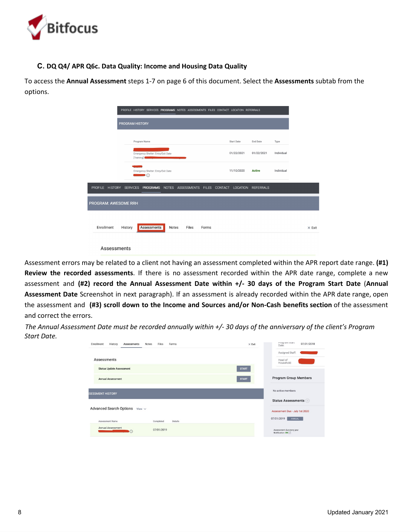

#### **C. DQ Q4/ APR Q6c. Data Quality: Income and Housing Data Quality**

To access the **Annual Assessment** steps 1-7 on page 6 of this document. Select the **Assessments** subtab from the options.

|                                                                  |                 |                                                          |       | PROFILE HISTORY SERVICES PROGRAMS NOTES ASSESSMENTS FILES CONTACT LOCATION REFERRALS |       |                   |                    |            |               |
|------------------------------------------------------------------|-----------------|----------------------------------------------------------|-------|--------------------------------------------------------------------------------------|-------|-------------------|--------------------|------------|---------------|
|                                                                  | PROGRAM HISTORY |                                                          |       |                                                                                      |       |                   |                    |            |               |
|                                                                  |                 | Program Name                                             |       |                                                                                      |       | <b>Start Date</b> | <b>End Date</b>    | Type       |               |
|                                                                  |                 | Emergency Shelter: Entry/Exit Date<br>[Training]         |       |                                                                                      |       | 01/22/2021        | 01/22/2021         | Individual |               |
|                                                                  |                 | Emergency Shelter: Entry/Exit Date<br>$\blacksquare$ (i) |       |                                                                                      |       | 11/10/2020        | <b>Active</b>      | Individual |               |
| ROFILE HISTORY SERVICES PROGRAMS NOTES ASSESSMENTS FILES CONTACT |                 |                                                          |       |                                                                                      |       |                   | LOCATION REFERRALS |            |               |
| <b>OGRAM: AWESOME RRH</b>                                        |                 |                                                          |       |                                                                                      |       |                   |                    |            |               |
| Enrollment                                                       | History         | <b>Assessments</b>                                       | Notes | Files                                                                                | Forms |                   |                    |            | $\times$ Exit |
|                                                                  | Assessments     |                                                          |       |                                                                                      |       |                   |                    |            |               |

Assessment errors may be related to a client not having an assessment completed within the APR report date range. **(#1) Review the recorded assessments**. If there is no assessment recorded within the APR date range, complete a new assessment and **(#2) record the Annual Assessment Date within +/- 30 days of the Program Start Date** (**Annual Assessment Date** Screenshot in next paragraph). If an assessment is already recorded within the APR date range, open the assessment and **(#3) scroll down to the Income and Sources and/or Non-Cash benefits section** of the assessment and correct the errors.

The Annual Assessment Date must be recorded annually within +/- 30 days of the anniversary of the client's Program *Start Date.*

| Enrollment<br>History<br>Files<br>Assessments<br>Notes<br>Forms | $\times$ Exit | Program Start<br>07/01/2018<br>Date:          |
|-----------------------------------------------------------------|---------------|-----------------------------------------------|
|                                                                 |               | Assigned Staff:                               |
| Assessments                                                     |               | Head of<br>Household:                         |
| <b>Status Update Assessment</b>                                 | <b>START</b>  |                                               |
| <b>Annual Assessment</b>                                        | <b>START</b>  | <b>Program Group Members</b>                  |
| <b>SESSMENT HISTORY</b>                                         |               | No active members                             |
|                                                                 |               | Status Assessments +                          |
| <b>Advanced Search Options</b><br>View $\vee$                   |               | Assessment Due - July 1st 2020                |
| Assessment Name<br>Completed<br>Details                         |               | 07/01/2019<br>ANNUAL                          |
| Annual Assessment<br>07/01/2019                                 |               | Assessment due every year<br>Notification: ON |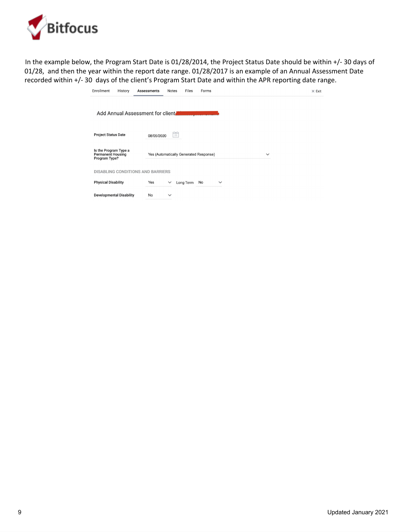

In the example below, the Program Start Date is 01/28/2014, the Project Status Date should be within +/- 30 days of 01/28, and then the year within the report date range. 01/28/2017 is an example of an Annual Assessment Date recorded within +/- 30 days of the client's Program Start Date and within the APR reporting date range.

| Enrollment<br>History                                              | Files<br>Forms<br><b>Assessments</b><br>Notes          | $\times$ Exit |
|--------------------------------------------------------------------|--------------------------------------------------------|---------------|
| Add Annual Assessment for client.                                  |                                                        |               |
| <b>Project Status Date</b>                                         | والدراع<br>25<br>08/05/2020                            |               |
| Is the Program Type a<br><b>Permanent Housing</b><br>Program Type? | Yes (Automatically Generated Response)<br>$\checkmark$ |               |
| <b>DISABLING CONDITIONS AND BARRIERS</b>                           |                                                        |               |
| <b>Physical Disability</b>                                         | Yes<br>Long Term<br>No<br>$\checkmark$<br>$\checkmark$ |               |
| <b>Developmental Disability</b>                                    | No<br>$\checkmark$                                     |               |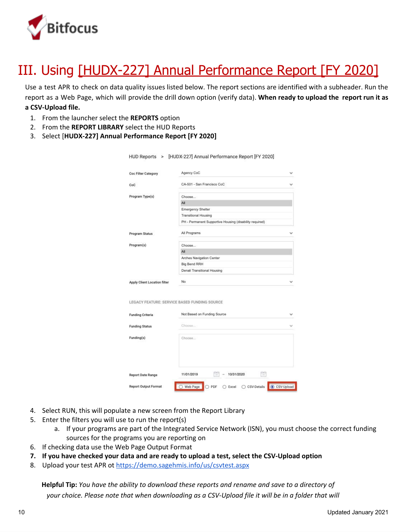

# III. Using [HUDX-227] Annual Performance Report [FY 2020]

Use a test APR to check on data quality issues listed below. The report sections are identified with a subheader. Run the report as a Web Page, which will provide the drill down option (verify data). **When ready to upload the report run it as a CSV-Upload file.**

- 1. From the launcher select the **REPORTS** option
- 2. From the **REPORT LIBRARY** select the HUD Reports
- 3. Select [**HUDX-227] Annual Performance Report [FY 2020]**

| <b>Coc Filter Category</b>                       | Agency CoC                                              |  |
|--------------------------------------------------|---------------------------------------------------------|--|
|                                                  |                                                         |  |
| CoC                                              | CA-501 - San Francisco CoC                              |  |
| Program Type(s)                                  | Choose                                                  |  |
|                                                  | All                                                     |  |
|                                                  | <b>Emergency Shelter</b>                                |  |
|                                                  | <b>Transitional Housing</b>                             |  |
|                                                  | PH - Permanent Supportive Housing (disability required) |  |
| Program Status                                   | All Programs                                            |  |
| Program(s)                                       | Choose                                                  |  |
|                                                  | All                                                     |  |
|                                                  | Arches Navigation Center                                |  |
|                                                  | Big Bend RRH                                            |  |
|                                                  | Denali Transitional Housing                             |  |
| <b>Apply Client Location filter</b>              | No                                                      |  |
|                                                  |                                                         |  |
| LEGACY FEATURE: SERVICE BASED FUNDING SOURCE     | Not Based on Funding Source                             |  |
|                                                  |                                                         |  |
| <b>Funding Criteria</b><br><b>Funding Status</b> | Choose                                                  |  |
| Funding(s)                                       | Choose                                                  |  |
|                                                  |                                                         |  |

4. Select RUN, this will populate a new screen from the Report Library

**Report Output Format** 

- 5. Enter the filters you will use to run the report(s)
	- a. If your programs are part of the Integrated Service Network (ISN), you must choose the correct funding sources for the programs you are reporting on

O Web Page O PDF O Excel O CSV-Details O CSV-Uplor

- 6. If checking data use the Web Page Output Format
- **7. If you have checked your data and are ready to upload a test, select the CSV-Upload option**
- 8. Upload your test APR ot <https://demo.sagehmis.info/us/csvtest.aspx>

**Helpful Tip:** *You have the ability to download these reports and rename and save to a directory of* your choice. Please note that when downloading as a CSV-Upload file it will be in a folder that will